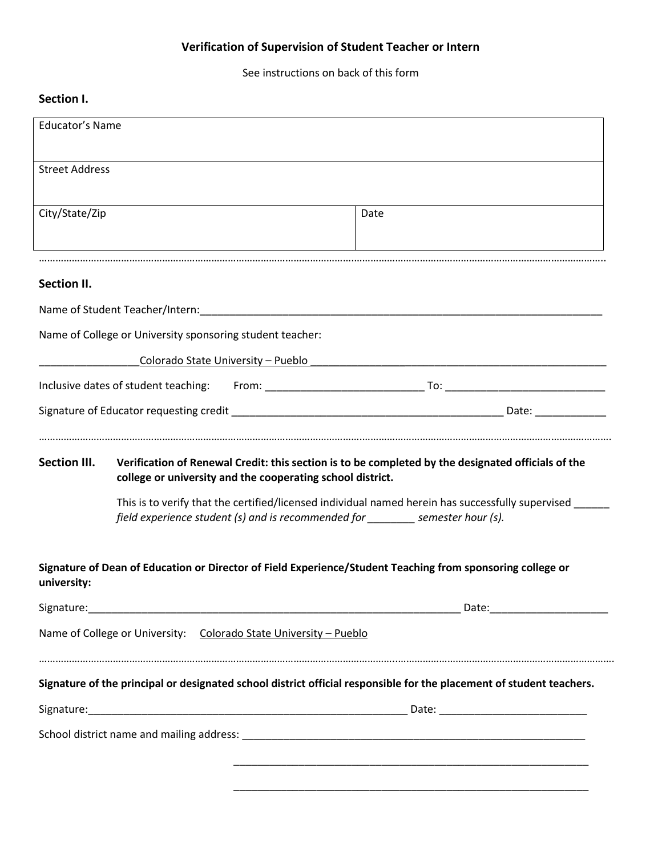## **Verification of Supervision of Student Teacher or Intern**

See instructions on back of this form

## **Section I.**

| <b>Educator's Name</b> |                                                                   |                                                                                                                                                                                      |
|------------------------|-------------------------------------------------------------------|--------------------------------------------------------------------------------------------------------------------------------------------------------------------------------------|
|                        |                                                                   |                                                                                                                                                                                      |
| <b>Street Address</b>  |                                                                   |                                                                                                                                                                                      |
| City/State/Zip         |                                                                   | Date                                                                                                                                                                                 |
|                        |                                                                   |                                                                                                                                                                                      |
|                        |                                                                   |                                                                                                                                                                                      |
| Section II.            |                                                                   |                                                                                                                                                                                      |
|                        |                                                                   |                                                                                                                                                                                      |
|                        | Name of College or University sponsoring student teacher:         |                                                                                                                                                                                      |
|                        | Colorado State University - Pueblo                                |                                                                                                                                                                                      |
|                        |                                                                   |                                                                                                                                                                                      |
|                        |                                                                   |                                                                                                                                                                                      |
|                        |                                                                   | Verification of Renewal Credit: this section is to be completed by the designated officials of the                                                                                   |
| <b>Section III.</b>    | college or university and the cooperating school district.        | This is to verify that the certified/licensed individual named herein has successfully supervised<br>field experience student (s) and is recommended for ________ semester hour (s). |
|                        |                                                                   | Signature of Dean of Education or Director of Field Experience/Student Teaching from sponsoring college or                                                                           |
| university:            |                                                                   |                                                                                                                                                                                      |
|                        | Name of College or University: Colorado State University - Pueblo |                                                                                                                                                                                      |
|                        |                                                                   | Signature of the principal or designated school district official responsible for the placement of student teachers.                                                                 |
|                        |                                                                   |                                                                                                                                                                                      |